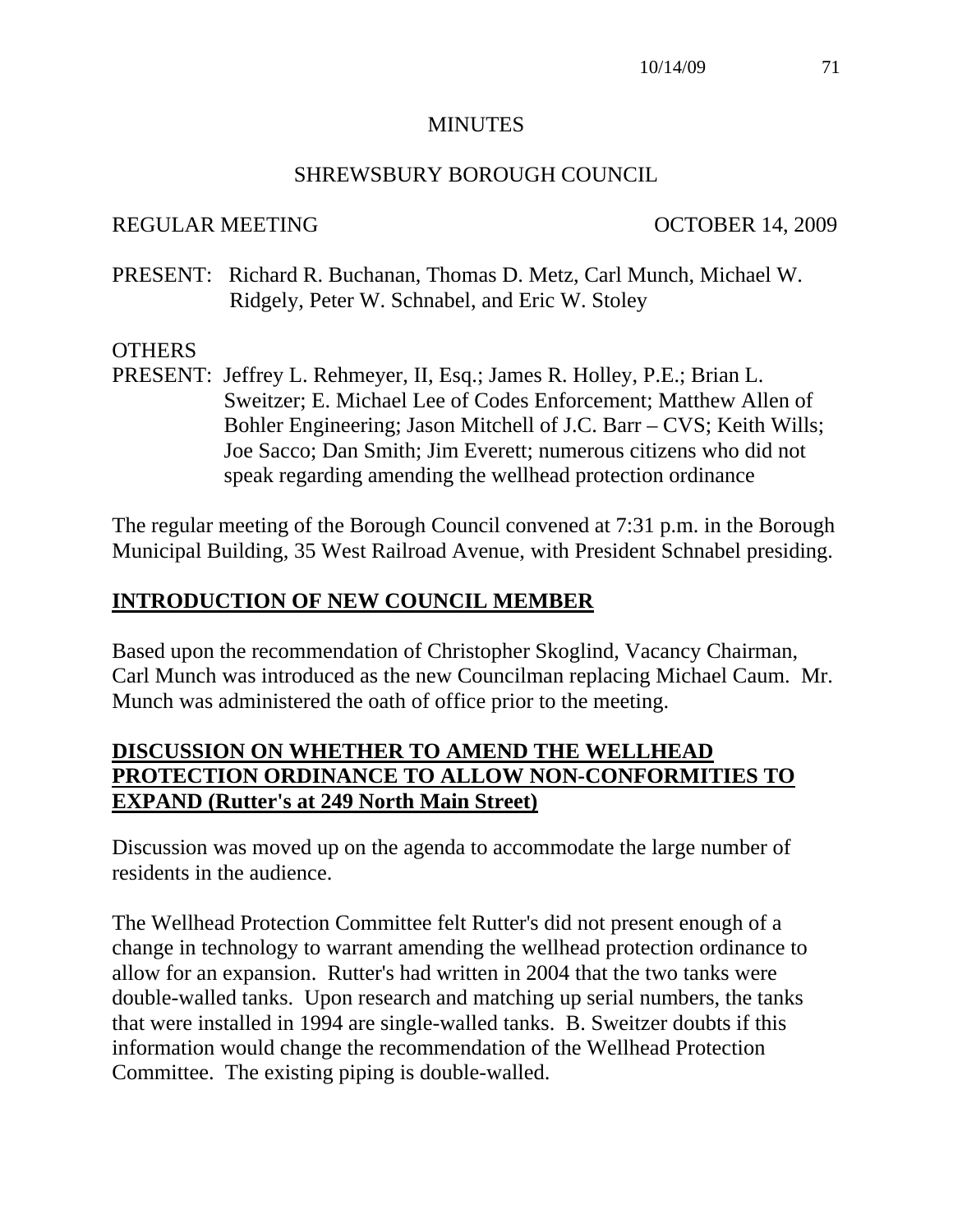#### **MINUTES**

#### SHREWSBURY BOROUGH COUNCIL

#### REGULAR MEETING OCTOBER 14, 2009

PRESENT: Richard R. Buchanan, Thomas D. Metz, Carl Munch, Michael W. Ridgely, Peter W. Schnabel, and Eric W. Stoley

#### **OTHERS**

PRESENT: Jeffrey L. Rehmeyer, II, Esq.; James R. Holley, P.E.; Brian L. Sweitzer; E. Michael Lee of Codes Enforcement; Matthew Allen of Bohler Engineering; Jason Mitchell of J.C. Barr – CVS; Keith Wills; Joe Sacco; Dan Smith; Jim Everett; numerous citizens who did not speak regarding amending the wellhead protection ordinance

The regular meeting of the Borough Council convened at 7:31 p.m. in the Borough Municipal Building, 35 West Railroad Avenue, with President Schnabel presiding.

#### **INTRODUCTION OF NEW COUNCIL MEMBER**

Based upon the recommendation of Christopher Skoglind, Vacancy Chairman, Carl Munch was introduced as the new Councilman replacing Michael Caum. Mr. Munch was administered the oath of office prior to the meeting.

## **DISCUSSION ON WHETHER TO AMEND THE WELLHEAD PROTECTION ORDINANCE TO ALLOW NON-CONFORMITIES TO EXPAND (Rutter's at 249 North Main Street)**

Discussion was moved up on the agenda to accommodate the large number of residents in the audience.

The Wellhead Protection Committee felt Rutter's did not present enough of a change in technology to warrant amending the wellhead protection ordinance to allow for an expansion. Rutter's had written in 2004 that the two tanks were double-walled tanks. Upon research and matching up serial numbers, the tanks that were installed in 1994 are single-walled tanks. B. Sweitzer doubts if this information would change the recommendation of the Wellhead Protection Committee. The existing piping is double-walled.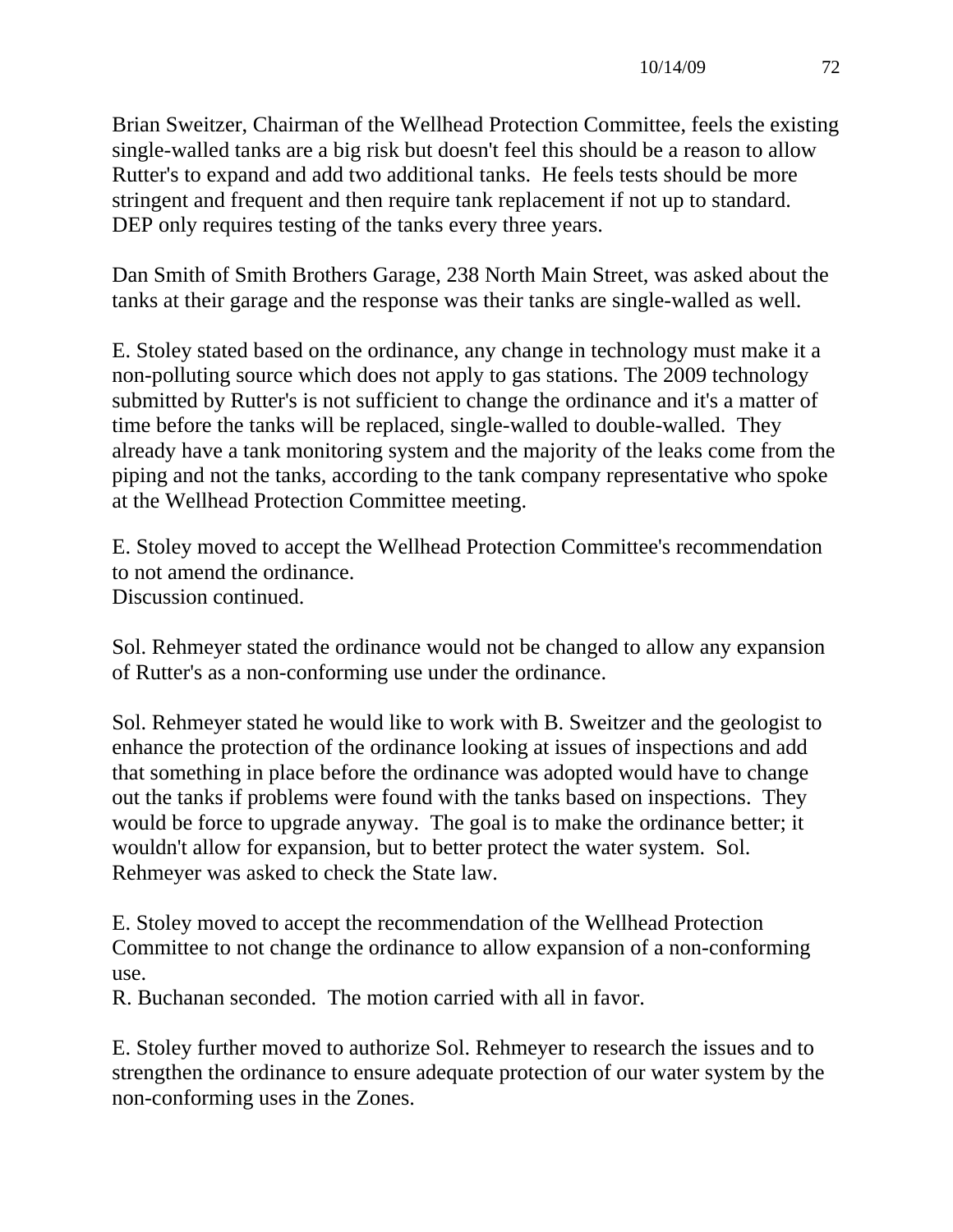Brian Sweitzer, Chairman of the Wellhead Protection Committee, feels the existing single-walled tanks are a big risk but doesn't feel this should be a reason to allow Rutter's to expand and add two additional tanks. He feels tests should be more stringent and frequent and then require tank replacement if not up to standard. DEP only requires testing of the tanks every three years.

Dan Smith of Smith Brothers Garage, 238 North Main Street, was asked about the tanks at their garage and the response was their tanks are single-walled as well.

E. Stoley stated based on the ordinance, any change in technology must make it a non-polluting source which does not apply to gas stations. The 2009 technology submitted by Rutter's is not sufficient to change the ordinance and it's a matter of time before the tanks will be replaced, single-walled to double-walled. They already have a tank monitoring system and the majority of the leaks come from the piping and not the tanks, according to the tank company representative who spoke at the Wellhead Protection Committee meeting.

E. Stoley moved to accept the Wellhead Protection Committee's recommendation to not amend the ordinance. Discussion continued.

Sol. Rehmeyer stated the ordinance would not be changed to allow any expansion of Rutter's as a non-conforming use under the ordinance.

Sol. Rehmeyer stated he would like to work with B. Sweitzer and the geologist to enhance the protection of the ordinance looking at issues of inspections and add that something in place before the ordinance was adopted would have to change out the tanks if problems were found with the tanks based on inspections. They would be force to upgrade anyway. The goal is to make the ordinance better; it wouldn't allow for expansion, but to better protect the water system. Sol. Rehmeyer was asked to check the State law.

E. Stoley moved to accept the recommendation of the Wellhead Protection Committee to not change the ordinance to allow expansion of a non-conforming use.

R. Buchanan seconded. The motion carried with all in favor.

E. Stoley further moved to authorize Sol. Rehmeyer to research the issues and to strengthen the ordinance to ensure adequate protection of our water system by the non-conforming uses in the Zones.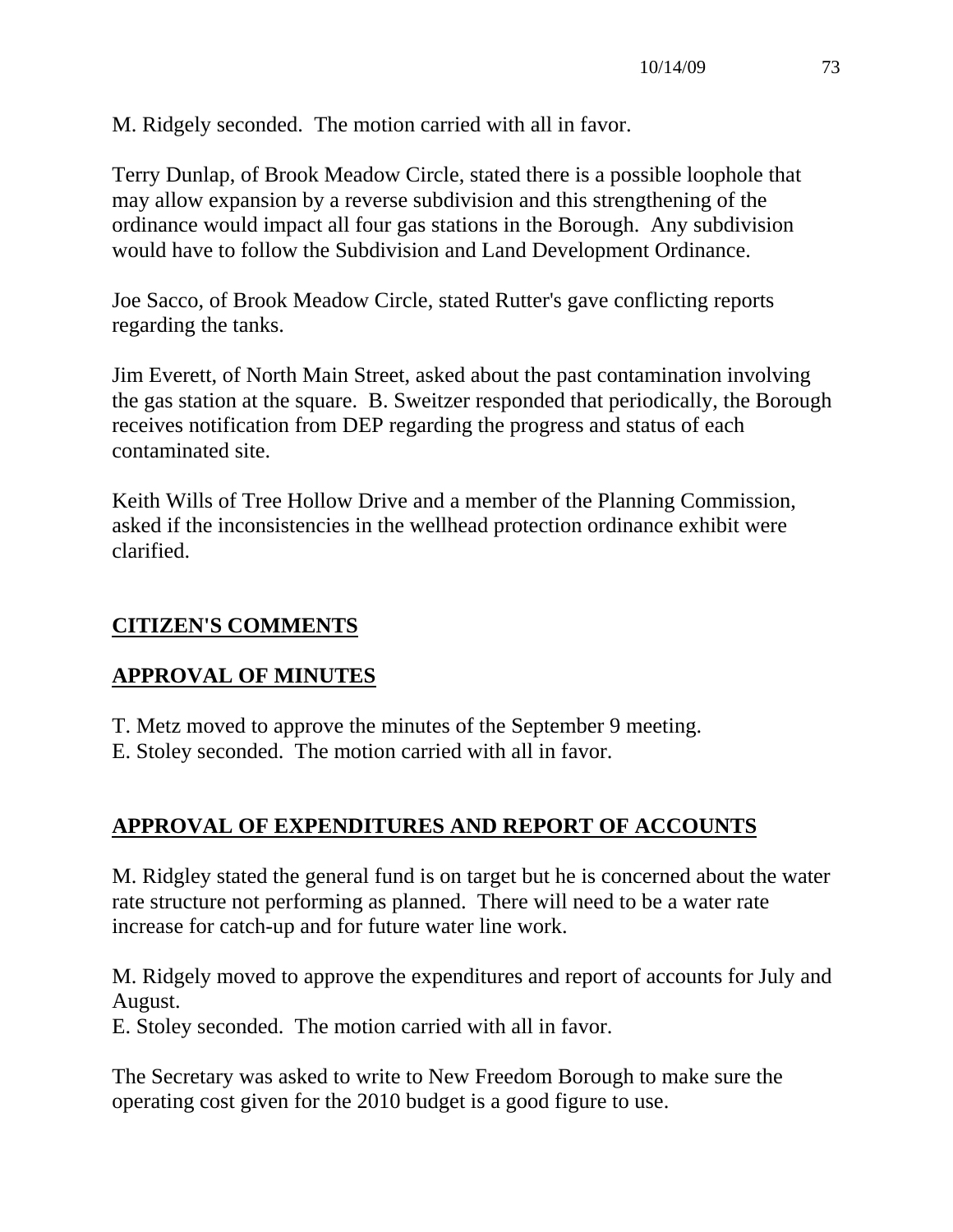M. Ridgely seconded. The motion carried with all in favor.

Terry Dunlap, of Brook Meadow Circle, stated there is a possible loophole that may allow expansion by a reverse subdivision and this strengthening of the ordinance would impact all four gas stations in the Borough. Any subdivision would have to follow the Subdivision and Land Development Ordinance.

Joe Sacco, of Brook Meadow Circle, stated Rutter's gave conflicting reports regarding the tanks.

Jim Everett, of North Main Street, asked about the past contamination involving the gas station at the square. B. Sweitzer responded that periodically, the Borough receives notification from DEP regarding the progress and status of each contaminated site.

Keith Wills of Tree Hollow Drive and a member of the Planning Commission, asked if the inconsistencies in the wellhead protection ordinance exhibit were clarified.

# **CITIZEN'S COMMENTS**

# **APPROVAL OF MINUTES**

- T. Metz moved to approve the minutes of the September 9 meeting.
- E. Stoley seconded. The motion carried with all in favor.

# **APPROVAL OF EXPENDITURES AND REPORT OF ACCOUNTS**

M. Ridgley stated the general fund is on target but he is concerned about the water rate structure not performing as planned. There will need to be a water rate increase for catch-up and for future water line work.

M. Ridgely moved to approve the expenditures and report of accounts for July and August.

E. Stoley seconded. The motion carried with all in favor.

The Secretary was asked to write to New Freedom Borough to make sure the operating cost given for the 2010 budget is a good figure to use.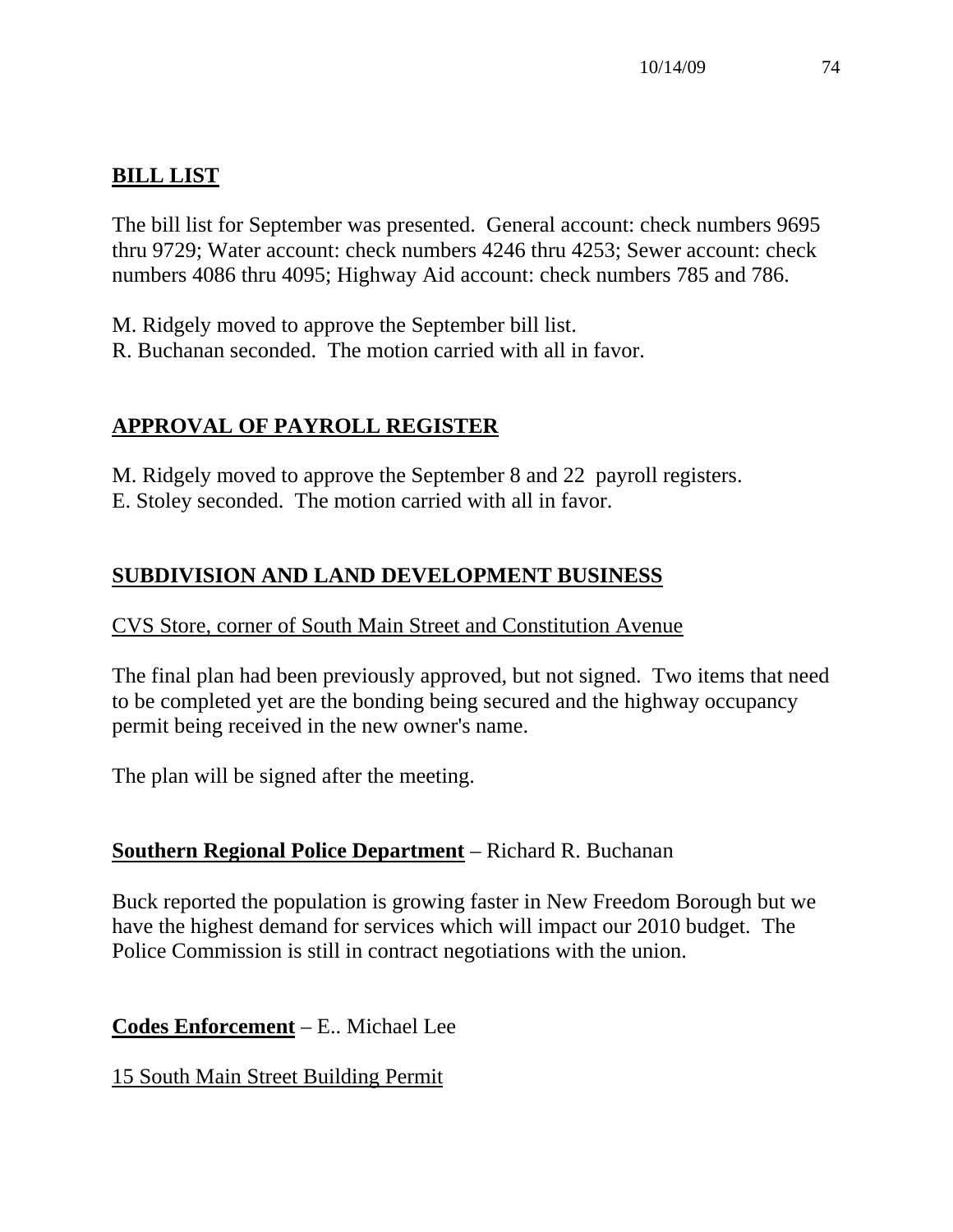# **BILL LIST**

The bill list for September was presented. General account: check numbers 9695 thru 9729; Water account: check numbers 4246 thru 4253; Sewer account: check numbers 4086 thru 4095; Highway Aid account: check numbers 785 and 786.

M. Ridgely moved to approve the September bill list. R. Buchanan seconded. The motion carried with all in favor.

# **APPROVAL OF PAYROLL REGISTER**

M. Ridgely moved to approve the September 8 and 22 payroll registers. E. Stoley seconded. The motion carried with all in favor.

# **SUBDIVISION AND LAND DEVELOPMENT BUSINESS**

#### CVS Store, corner of South Main Street and Constitution Avenue

The final plan had been previously approved, but not signed. Two items that need to be completed yet are the bonding being secured and the highway occupancy permit being received in the new owner's name.

The plan will be signed after the meeting.

# **Southern Regional Police Department** – Richard R. Buchanan

Buck reported the population is growing faster in New Freedom Borough but we have the highest demand for services which will impact our 2010 budget. The Police Commission is still in contract negotiations with the union.

**Codes Enforcement** – E.. Michael Lee

15 South Main Street Building Permit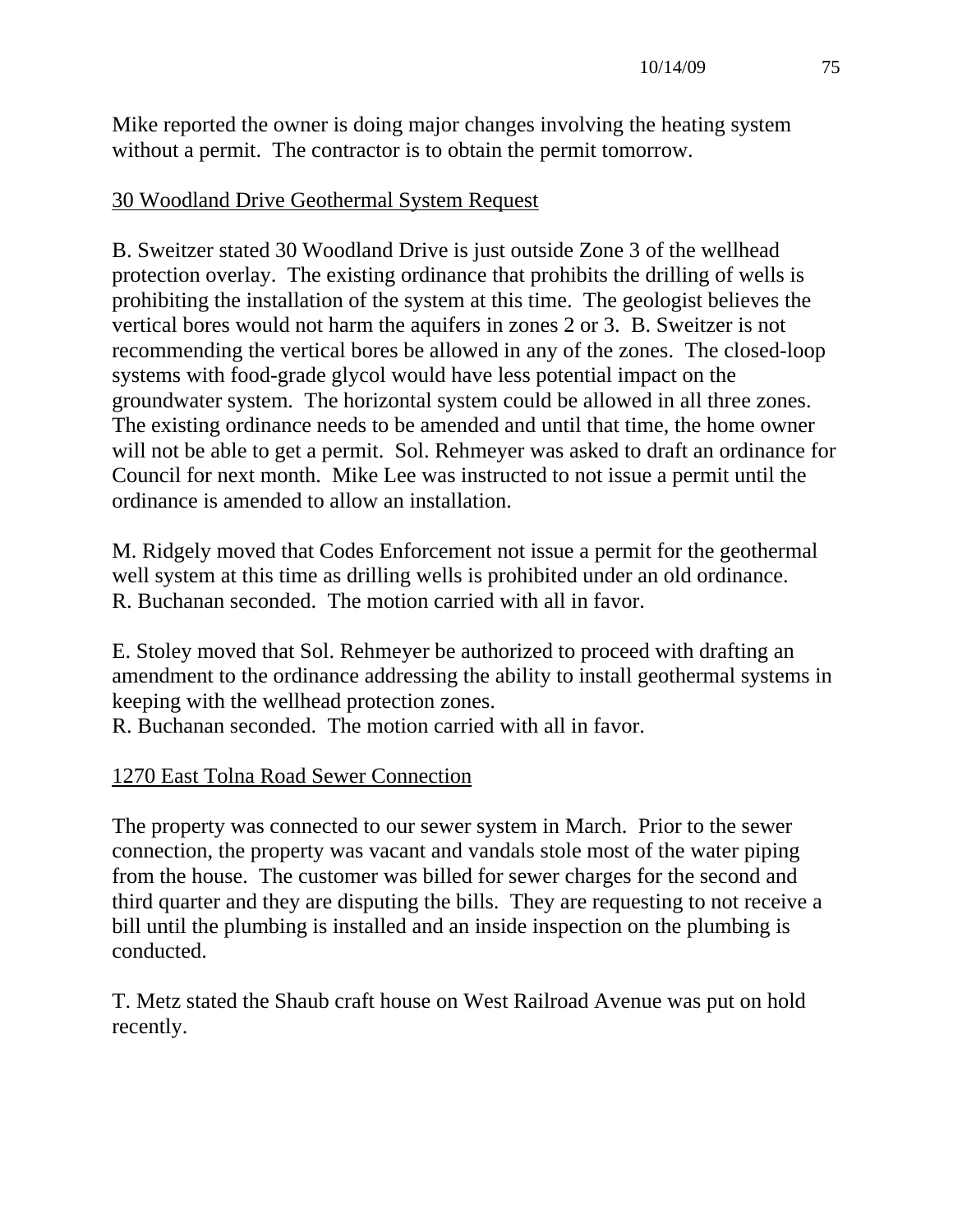Mike reported the owner is doing major changes involving the heating system without a permit. The contractor is to obtain the permit tomorrow.

## 30 Woodland Drive Geothermal System Request

B. Sweitzer stated 30 Woodland Drive is just outside Zone 3 of the wellhead protection overlay. The existing ordinance that prohibits the drilling of wells is prohibiting the installation of the system at this time. The geologist believes the vertical bores would not harm the aquifers in zones 2 or 3. B. Sweitzer is not recommending the vertical bores be allowed in any of the zones. The closed-loop systems with food-grade glycol would have less potential impact on the groundwater system. The horizontal system could be allowed in all three zones. The existing ordinance needs to be amended and until that time, the home owner will not be able to get a permit. Sol. Rehmeyer was asked to draft an ordinance for Council for next month. Mike Lee was instructed to not issue a permit until the ordinance is amended to allow an installation.

M. Ridgely moved that Codes Enforcement not issue a permit for the geothermal well system at this time as drilling wells is prohibited under an old ordinance. R. Buchanan seconded. The motion carried with all in favor.

E. Stoley moved that Sol. Rehmeyer be authorized to proceed with drafting an amendment to the ordinance addressing the ability to install geothermal systems in keeping with the wellhead protection zones.

R. Buchanan seconded. The motion carried with all in favor.

#### 1270 East Tolna Road Sewer Connection

The property was connected to our sewer system in March. Prior to the sewer connection, the property was vacant and vandals stole most of the water piping from the house. The customer was billed for sewer charges for the second and third quarter and they are disputing the bills. They are requesting to not receive a bill until the plumbing is installed and an inside inspection on the plumbing is conducted.

T. Metz stated the Shaub craft house on West Railroad Avenue was put on hold recently.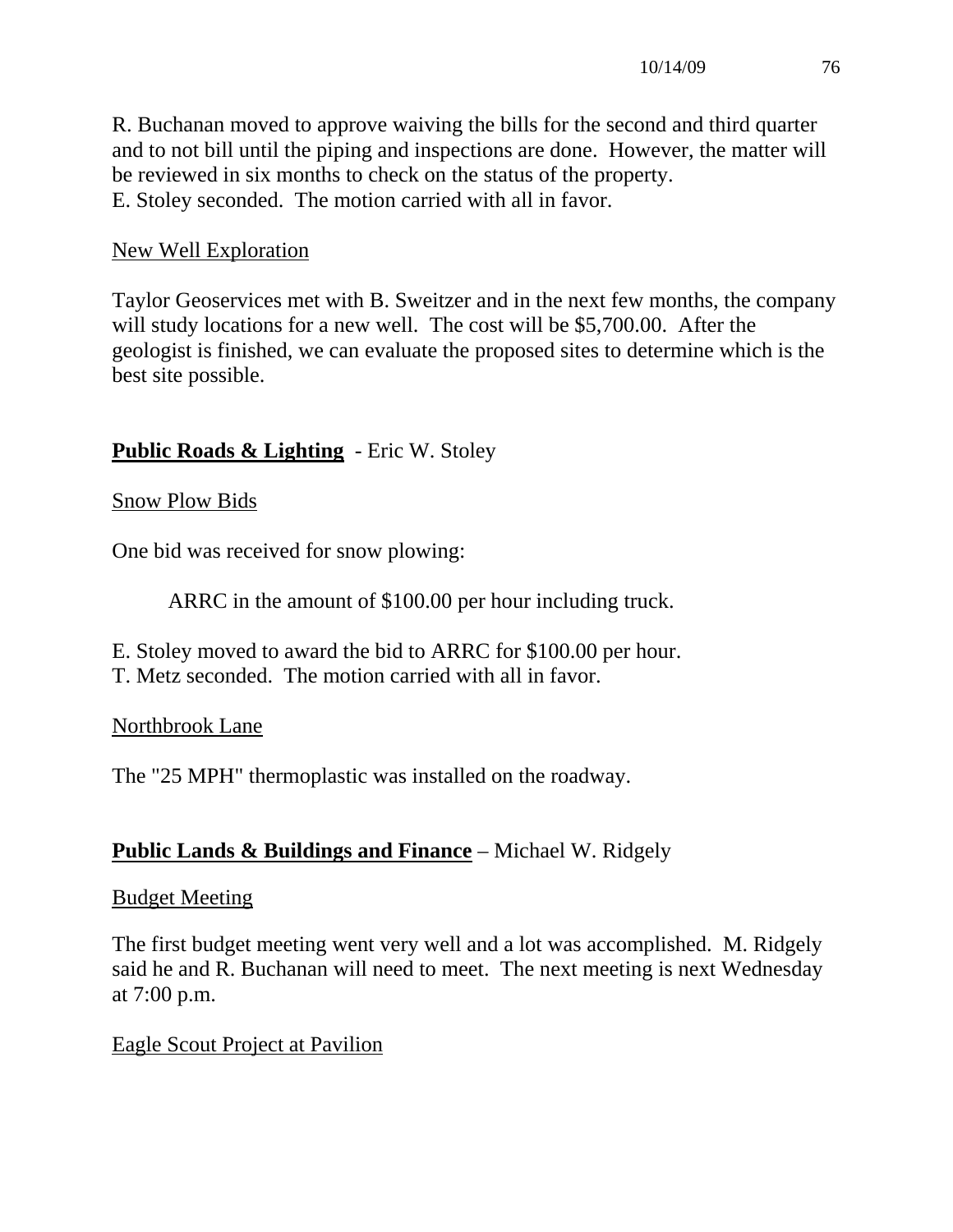R. Buchanan moved to approve waiving the bills for the second and third quarter and to not bill until the piping and inspections are done. However, the matter will be reviewed in six months to check on the status of the property. E. Stoley seconded. The motion carried with all in favor.

## New Well Exploration

Taylor Geoservices met with B. Sweitzer and in the next few months, the company will study locations for a new well. The cost will be \$5,700.00. After the geologist is finished, we can evaluate the proposed sites to determine which is the best site possible.

# **Public Roads & Lighting** - Eric W. Stoley

Snow Plow Bids

One bid was received for snow plowing:

ARRC in the amount of \$100.00 per hour including truck.

E. Stoley moved to award the bid to ARRC for \$100.00 per hour. T. Metz seconded. The motion carried with all in favor.

#### Northbrook Lane

The "25 MPH" thermoplastic was installed on the roadway.

# **Public Lands & Buildings and Finance** – Michael W. Ridgely

#### Budget Meeting

The first budget meeting went very well and a lot was accomplished. M. Ridgely said he and R. Buchanan will need to meet. The next meeting is next Wednesday at 7:00 p.m.

#### Eagle Scout Project at Pavilion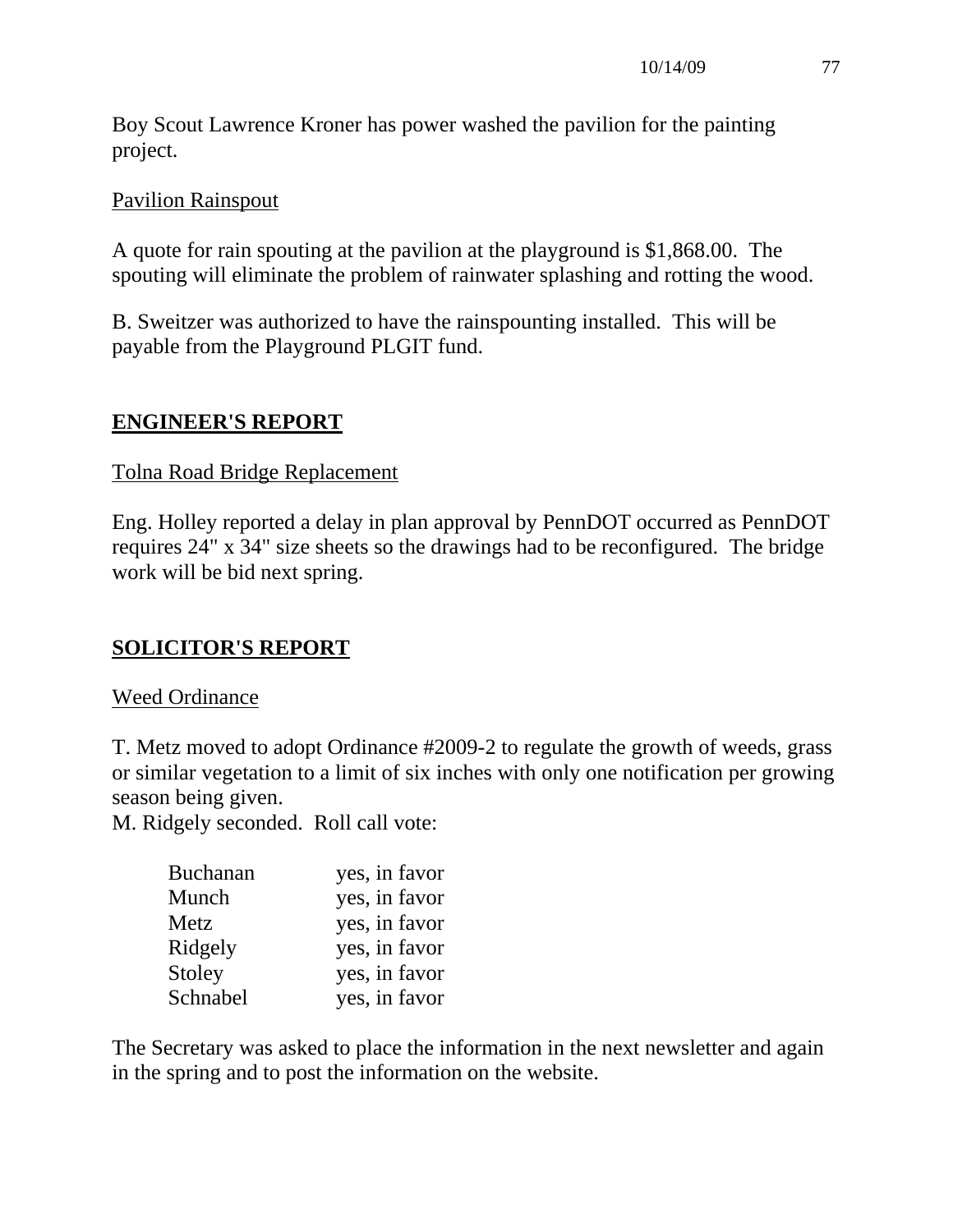Boy Scout Lawrence Kroner has power washed the pavilion for the painting project.

## Pavilion Rainspout

A quote for rain spouting at the pavilion at the playground is \$1,868.00. The spouting will eliminate the problem of rainwater splashing and rotting the wood.

B. Sweitzer was authorized to have the rainspounting installed. This will be payable from the Playground PLGIT fund.

## **ENGINEER'S REPORT**

#### Tolna Road Bridge Replacement

Eng. Holley reported a delay in plan approval by PennDOT occurred as PennDOT requires 24" x 34" size sheets so the drawings had to be reconfigured. The bridge work will be bid next spring.

# **SOLICITOR'S REPORT**

#### Weed Ordinance

T. Metz moved to adopt Ordinance #2009-2 to regulate the growth of weeds, grass or similar vegetation to a limit of six inches with only one notification per growing season being given.

M. Ridgely seconded. Roll call vote:

| <b>Buchanan</b> | yes, in favor |
|-----------------|---------------|
| Munch           | yes, in favor |
| Metz            | yes, in favor |
| Ridgely         | yes, in favor |
| Stoley          | yes, in favor |
| Schnabel        | yes, in favor |

The Secretary was asked to place the information in the next newsletter and again in the spring and to post the information on the website.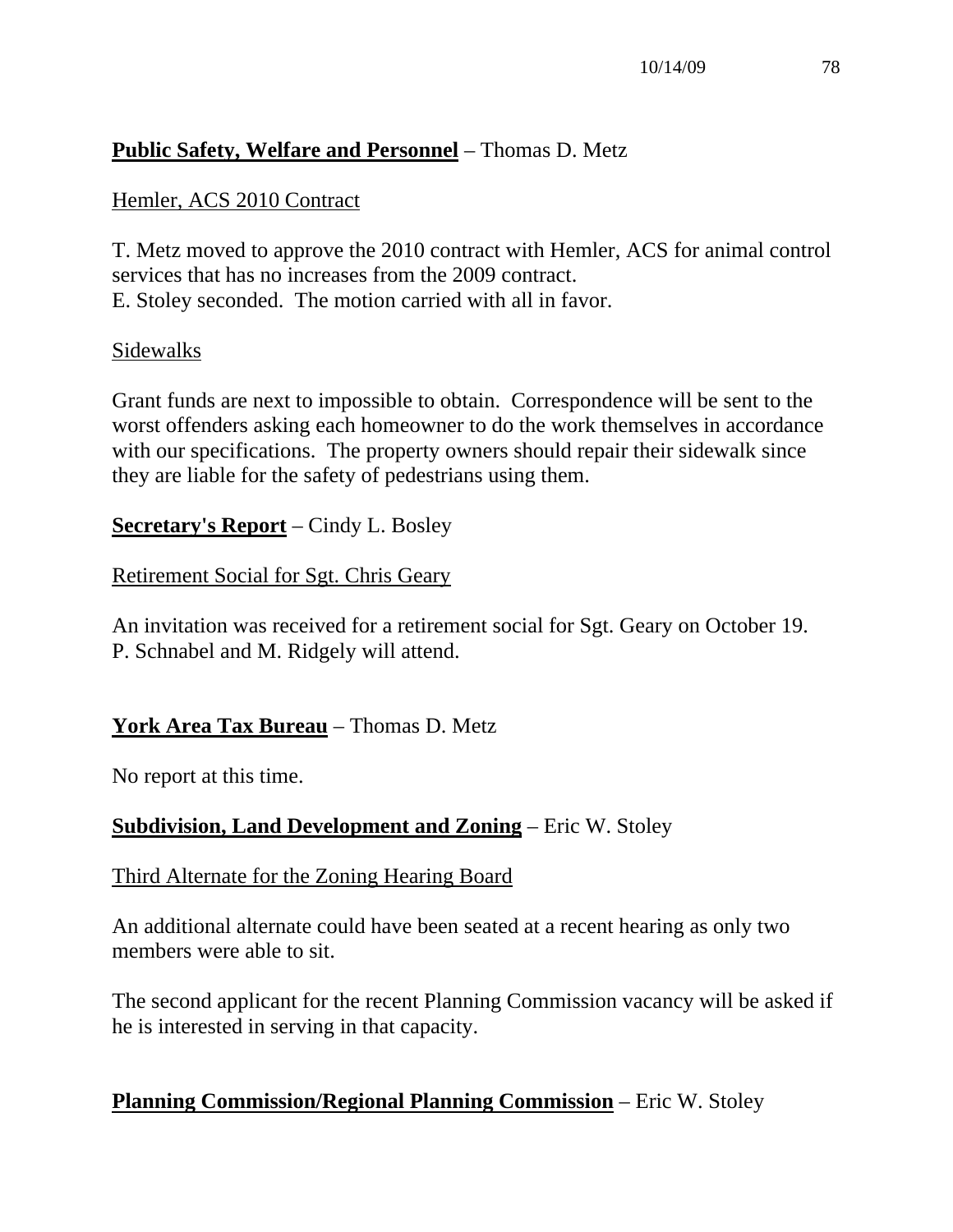## **Public Safety, Welfare and Personnel** – Thomas D. Metz

## Hemler, ACS 2010 Contract

T. Metz moved to approve the 2010 contract with Hemler, ACS for animal control services that has no increases from the 2009 contract. E. Stoley seconded. The motion carried with all in favor.

#### Sidewalks

Grant funds are next to impossible to obtain. Correspondence will be sent to the worst offenders asking each homeowner to do the work themselves in accordance with our specifications. The property owners should repair their sidewalk since they are liable for the safety of pedestrians using them.

**Secretary's Report** – Cindy L. Bosley

Retirement Social for Sgt. Chris Geary

An invitation was received for a retirement social for Sgt. Geary on October 19. P. Schnabel and M. Ridgely will attend.

# **York Area Tax Bureau** – Thomas D. Metz

No report at this time.

# **Subdivision, Land Development and Zoning** – Eric W. Stoley

#### Third Alternate for the Zoning Hearing Board

An additional alternate could have been seated at a recent hearing as only two members were able to sit.

The second applicant for the recent Planning Commission vacancy will be asked if he is interested in serving in that capacity.

# **Planning Commission/Regional Planning Commission** – Eric W. Stoley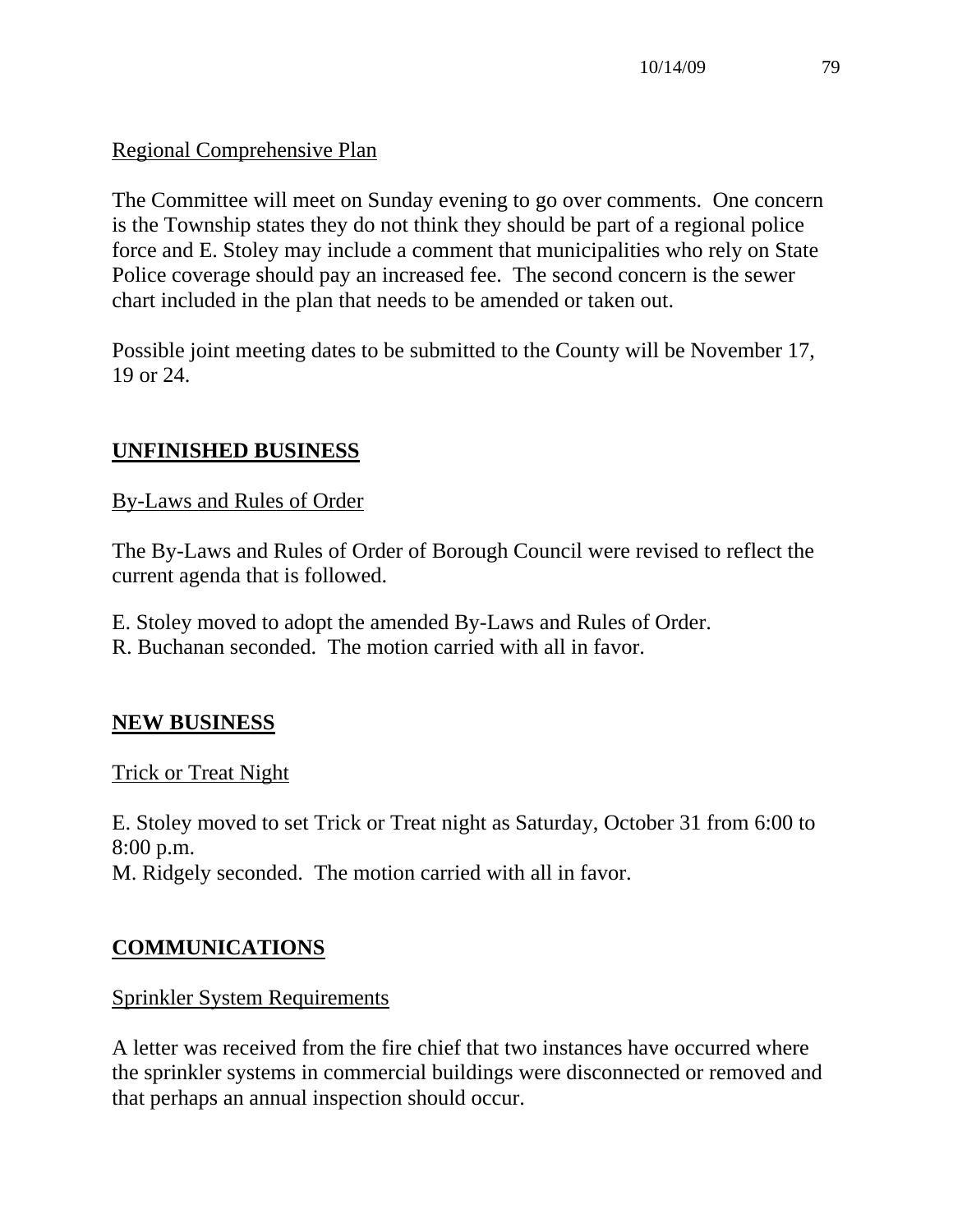## Regional Comprehensive Plan

The Committee will meet on Sunday evening to go over comments. One concern is the Township states they do not think they should be part of a regional police force and E. Stoley may include a comment that municipalities who rely on State Police coverage should pay an increased fee. The second concern is the sewer chart included in the plan that needs to be amended or taken out.

Possible joint meeting dates to be submitted to the County will be November 17, 19 or 24.

# **UNFINISHED BUSINESS**

## By-Laws and Rules of Order

The By-Laws and Rules of Order of Borough Council were revised to reflect the current agenda that is followed.

- E. Stoley moved to adopt the amended By-Laws and Rules of Order.
- R. Buchanan seconded. The motion carried with all in favor.

#### **NEW BUSINESS**

#### Trick or Treat Night

E. Stoley moved to set Trick or Treat night as Saturday, October 31 from 6:00 to 8:00 p.m. M. Ridgely seconded. The motion carried with all in favor.

# **COMMUNICATIONS**

#### Sprinkler System Requirements

A letter was received from the fire chief that two instances have occurred where the sprinkler systems in commercial buildings were disconnected or removed and that perhaps an annual inspection should occur.